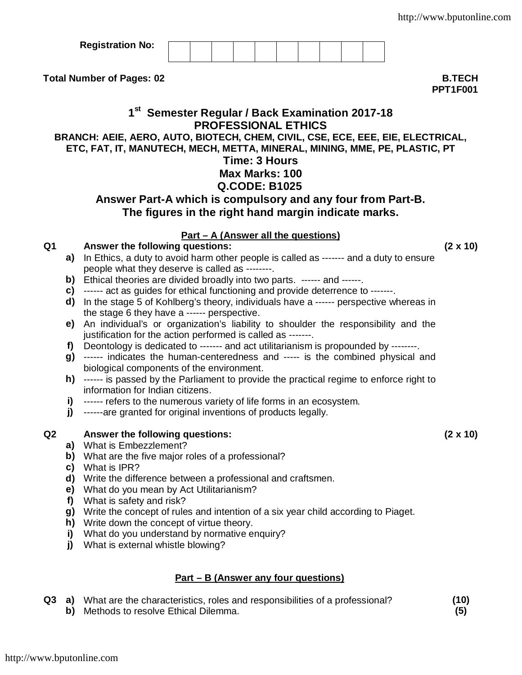| <b>Registration No:</b> |  |  |  |  |  |
|-------------------------|--|--|--|--|--|
|                         |  |  |  |  |  |

**Total Number of Pages: 02 B.TECH**

**PPT1F001**

## **1 st Semester Regular / Back Examination 2017-18 PROFESSIONAL ETHICS**

**BRANCH: AEIE, AERO, AUTO, BIOTECH, CHEM, CIVIL, CSE, ECE, EEE, EIE, ELECTRICAL, ETC, FAT, IT, MANUTECH, MECH, METTA, MINERAL, MINING, MME, PE, PLASTIC, PT**

# **Time: 3 Hours**

# **Max Marks: 100**

## **Q.CODE: B1025**

### **Answer Part-A which is compulsory and any four from Part-B. The figures in the right hand margin indicate marks.**

### **Part – A (Answer all the questions)**

### **Q1 Answer the following questions: (2 x 10)**

- **a)** In Ethics, a duty to avoid harm other people is called as ------- and a duty to ensure people what they deserve is called as --------.
- **b)** Ethical theories are divided broadly into two parts. ------ and ------.
- **c)** ------ act as guides for ethical functioning and provide deterrence to -------.
- **d)** In the stage 5 of Kohlberg's theory, individuals have a ------ perspective whereas in the stage 6 they have a ------ perspective.
- **e)** An individual's or organization's liability to shoulder the responsibility and the justification for the action performed is called as -------.
- **f)** Deontology is dedicated to ------- and act utilitarianism is propounded by --------.
- **g)** ------ indicates the human-centeredness and ----- is the combined physical and biological components of the environment.
- **h)** ------ is passed by the Parliament to provide the practical regime to enforce right to information for Indian citizens.
- **i)** ------ refers to the numerous variety of life forms in an ecosystem.
- **j)** ------are granted for original inventions of products legally.

#### **Q2 Answer the following questions: (2 x 10)**

- **a)** What is Embezzlement?
- **b)** What are the five major roles of a professional?
- **c)** What is IPR?
- **d)** Write the difference between a professional and craftsmen.
- **e)** What do you mean by Act Utilitarianism?
- **f)** What is safety and risk?
- **g)** Write the concept of rules and intention of a six year child according to Piaget.
- **h)** Write down the concept of virtue theory.
- **i)** What do you understand by normative enquiry?
- **j)** What is external whistle blowing?

#### **Part – B (Answer any four questions)**

- **Q3 a)** What are the characteristics, roles and responsibilities of a professional? **(10)**
	- **b)** Methods to resolve Ethical Dilemma. **(5)**